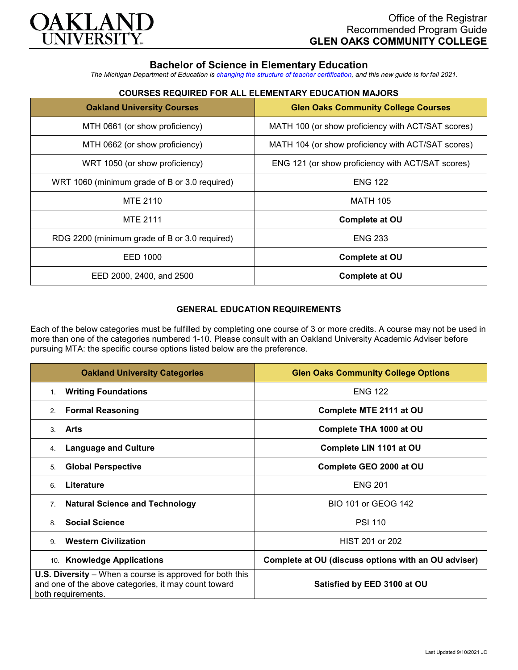

## **Bachelor of Science in Elementary Education**

*The Michigan Department of Education is [changing the structure of teacher certification,](https://docs.google.com/document/d/1W1uUK14Njx6WAB56T4jHbat65OZyg6TS04LdNWMXEcI/edit) and this new guide is for fall 2021.*

# **COURSES REQUIRED FOR ALL ELEMENTARY EDUCATION MAJORS**

| <b>Oakland University Courses</b>             | <b>Glen Oaks Community College Courses</b>         |
|-----------------------------------------------|----------------------------------------------------|
| MTH 0661 (or show proficiency)                | MATH 100 (or show proficiency with ACT/SAT scores) |
| MTH 0662 (or show proficiency)                | MATH 104 (or show proficiency with ACT/SAT scores) |
| WRT 1050 (or show proficiency)                | ENG 121 (or show proficiency with ACT/SAT scores)  |
| WRT 1060 (minimum grade of B or 3.0 required) | <b>ENG 122</b>                                     |
| <b>MTE 2110</b>                               | <b>MATH 105</b>                                    |
| <b>MTE 2111</b>                               | <b>Complete at OU</b>                              |
| RDG 2200 (minimum grade of B or 3.0 required) | <b>ENG 233</b>                                     |
| EED 1000                                      | <b>Complete at OU</b>                              |
| EED 2000, 2400, and 2500                      | <b>Complete at OU</b>                              |

### **GENERAL EDUCATION REQUIREMENTS**

Each of the below categories must be fulfilled by completing one course of 3 or more credits. A course may not be used in more than one of the categories numbered 1-10. Please consult with an Oakland University Academic Adviser before pursuing MTA: the specific course options listed below are the preference.

| <b>Oakland University Categories</b>                                                                                                          | <b>Glen Oaks Community College Options</b>          |
|-----------------------------------------------------------------------------------------------------------------------------------------------|-----------------------------------------------------|
| <b>Writing Foundations</b><br>1.                                                                                                              | <b>ENG 122</b>                                      |
| <b>Formal Reasoning</b><br>2.                                                                                                                 | Complete MTE 2111 at OU                             |
| Arts<br>3                                                                                                                                     | Complete THA 1000 at OU                             |
| <b>Language and Culture</b><br>4.                                                                                                             | Complete LIN 1101 at OU                             |
| <b>Global Perspective</b><br>5.                                                                                                               | Complete GEO 2000 at OU                             |
| Literature<br>6                                                                                                                               | <b>ENG 201</b>                                      |
| <b>Natural Science and Technology</b><br>7 <sub>1</sub>                                                                                       | <b>BIO 101 or GEOG 142</b>                          |
| <b>Social Science</b><br>8                                                                                                                    | <b>PSI 110</b>                                      |
| <b>Western Civilization</b><br>9                                                                                                              | HIST 201 or 202                                     |
| 10. Knowledge Applications                                                                                                                    | Complete at OU (discuss options with an OU adviser) |
| <b>U.S. Diversity</b> – When a course is approved for both this<br>and one of the above categories, it may count toward<br>both requirements. | Satisfied by EED 3100 at OU                         |